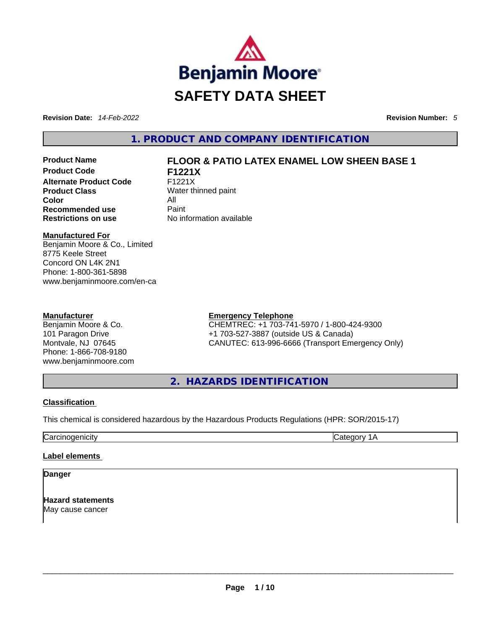

**Revision Date:** *14-Feb-2022* **Revision Number:** *5*

**1. PRODUCT AND COMPANY IDENTIFICATION** 

**Product Code F1221X Alternate Product Code** F1221X **Product Class** Water thinned paint **Color** All **Recommended use Paint Restrictions on use** No information available

# **Product Name FLOOR & PATIO LATEX ENAMEL LOW SHEEN BASE 1**

**Manufactured For**

Benjamin Moore & Co., Limited 8775 Keele Street Concord ON L4K 2N1 Phone: 1-800-361-5898 www.benjaminmoore.com/en-ca

#### **Manufacturer**

Benjamin Moore & Co. 101 Paragon Drive Montvale, NJ 07645 Phone: 1-866-708-9180 www.benjaminmoore.com

## **Emergency Telephone**

CHEMTREC: +1 703-741-5970 / 1-800-424-9300 +1 703-527-3887 (outside US & Canada) CANUTEC: 613-996-6666 (Transport Emergency Only)

**2. HAZARDS IDENTIFICATION** 

## **Classification**

This chemical is considered hazardous by the Hazardous Products Regulations (HPR: SOR/2015-17)

Carcinogenicity Category 1A

## **Label elements**

**Danger** 

**Hazard statements** May cause cancer \_\_\_\_\_\_\_\_\_\_\_\_\_\_\_\_\_\_\_\_\_\_\_\_\_\_\_\_\_\_\_\_\_\_\_\_\_\_\_\_\_\_\_\_\_\_\_\_\_\_\_\_\_\_\_\_\_\_\_\_\_\_\_\_\_\_\_\_\_\_\_\_\_\_\_\_\_\_\_\_\_\_\_\_\_\_\_\_\_\_\_\_\_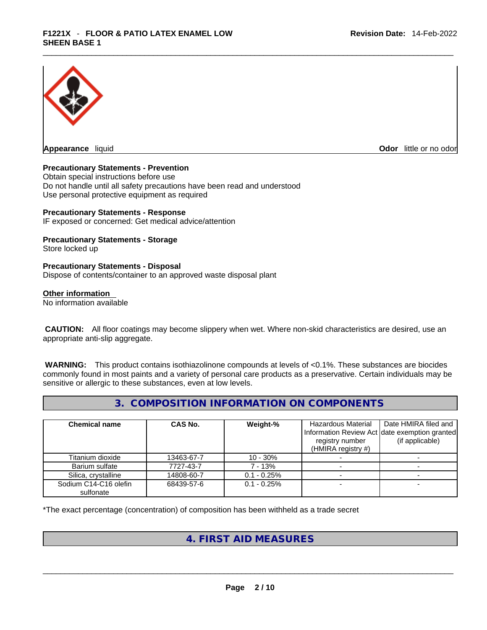

**Appearance** liquid

**Odor** little or no odor

#### **Precautionary Statements - Prevention**

Obtain special instructions before use Do not handle until all safety precautions have been read and understood Use personal protective equipment as required

#### **Precautionary Statements - Response**

IF exposed or concerned: Get medical advice/attention

# **Precautionary Statements - Storage**

Store locked up

#### **Precautionary Statements - Disposal**

Dispose of contents/container to an approved waste disposal plant

#### **Other information**

No information available

 **CAUTION:** All floor coatings may become slippery when wet. Where non-skid characteristics are desired, use an appropriate anti-slip aggregate.

 **WARNING:** This product contains isothiazolinone compounds at levels of <0.1%. These substances are biocides commonly found in most paints and a variety of personal care products as a preservative. Certain individuals may be sensitive or allergic to these substances, even at low levels.

# **3. COMPOSITION INFORMATION ON COMPONENTS**

| <b>Chemical name</b>               | CAS No.    | Weight-%      | Hazardous Material<br>registry number<br>(HMIRA registry $#$ ) | Date HMIRA filed and<br>Information Review Act date exemption granted<br>(if applicable) |
|------------------------------------|------------|---------------|----------------------------------------------------------------|------------------------------------------------------------------------------------------|
| Titanium dioxide                   | 13463-67-7 | $10 - 30%$    |                                                                |                                                                                          |
| Barium sulfate                     | 7727-43-7  | 7 - 13%       |                                                                |                                                                                          |
| Silica, crystalline                | 14808-60-7 | $0.1 - 0.25%$ |                                                                |                                                                                          |
| Sodium C14-C16 olefin<br>sulfonate | 68439-57-6 | $0.1 - 0.25%$ |                                                                |                                                                                          |

\*The exact percentage (concentration) of composition has been withheld as a trade secret

# **4. FIRST AID MEASURES**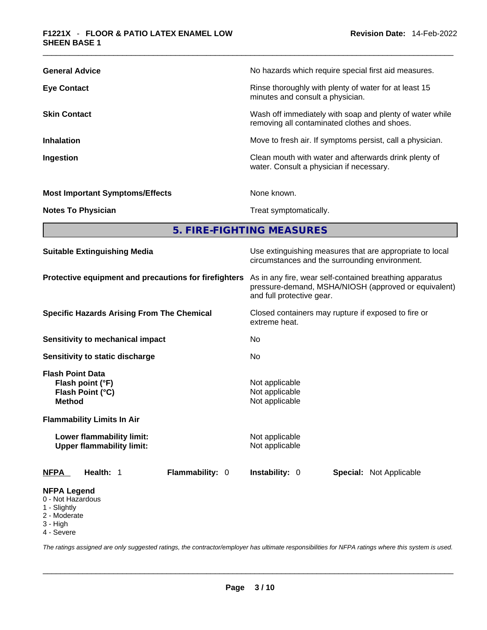| <b>General Advice</b>                  | No hazards which require special first aid measures.                                                     |
|----------------------------------------|----------------------------------------------------------------------------------------------------------|
| <b>Eye Contact</b>                     | Rinse thoroughly with plenty of water for at least 15<br>minutes and consult a physician.                |
| <b>Skin Contact</b>                    | Wash off immediately with soap and plenty of water while<br>removing all contaminated clothes and shoes. |
| <b>Inhalation</b>                      | Move to fresh air. If symptoms persist, call a physician.                                                |
| Ingestion                              | Clean mouth with water and afterwards drink plenty of<br>water. Consult a physician if necessary.        |
| <b>Most Important Symptoms/Effects</b> | None known.                                                                                              |
| <b>Notes To Physician</b>              | Treat symptomatically.                                                                                   |
|                                        |                                                                                                          |

**5. FIRE-FIGHTING MEASURES** 

| <b>Suitable Extinguishing Media</b>                                                                                                                                                    | Use extinguishing measures that are appropriate to local<br>circumstances and the surrounding environment.                                   |  |  |  |
|----------------------------------------------------------------------------------------------------------------------------------------------------------------------------------------|----------------------------------------------------------------------------------------------------------------------------------------------|--|--|--|
| Protective equipment and precautions for firefighters                                                                                                                                  | As in any fire, wear self-contained breathing apparatus<br>pressure-demand, MSHA/NIOSH (approved or equivalent)<br>and full protective gear. |  |  |  |
| <b>Specific Hazards Arising From The Chemical</b>                                                                                                                                      | Closed containers may rupture if exposed to fire or<br>extreme heat.                                                                         |  |  |  |
| Sensitivity to mechanical impact                                                                                                                                                       | No.                                                                                                                                          |  |  |  |
| Sensitivity to static discharge                                                                                                                                                        | No                                                                                                                                           |  |  |  |
| <b>Flash Point Data</b><br>Flash point (°F)<br>Flash Point (°C)<br><b>Method</b><br><b>Flammability Limits In Air</b><br>Lower flammability limit:<br><b>Upper flammability limit:</b> | Not applicable<br>Not applicable<br>Not applicable<br>Not applicable<br>Not applicable                                                       |  |  |  |
| Flammability: 0<br><b>NFPA</b><br>Health: 1                                                                                                                                            | <b>Instability: 0</b><br><b>Special: Not Applicable</b>                                                                                      |  |  |  |
| <b>NFPA Legend</b><br>0 - Not Hazardous<br>1 - Slightly<br>2 - Moderate<br>3 - High                                                                                                    |                                                                                                                                              |  |  |  |

4 - Severe

*The ratings assigned are only suggested ratings, the contractor/employer has ultimate responsibilities for NFPA ratings where this system is used.*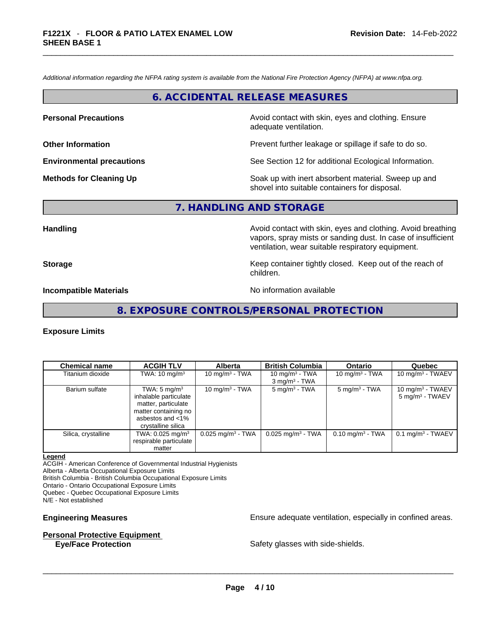*Additional information regarding the NFPA rating system is available from the National Fire Protection Agency (NFPA) at www.nfpa.org.* 

## **6. ACCIDENTAL RELEASE MEASURES**

**Personal Precautions Avoid contact with skin, eyes and clothing. Ensure Personal Precautions** adequate ventilation.

**Other Information Other Information Prevent further leakage or spillage if safe to do so.** 

**Environmental precautions** See Section 12 for additional Ecological Information.

**Methods for Cleaning Up Example 20 All 20 All 20 All 20 Soak** up with inert absorbent material. Sweep up and shovel into suitable containers for disposal.

# **7. HANDLING AND STORAGE**

**Handling Handling Avoid contact with skin, eyes and clothing. Avoid breathing** vapors, spray mists or sanding dust. In case of insufficient ventilation, wear suitable respiratory equipment.

**Storage Example 2 Keep container tightly closed.** Keep out of the reach of

children.

**Incompatible Materials Materials** No information available

**8. EXPOSURE CONTROLS/PERSONAL PROTECTION** 

#### **Exposure Limits**

| <b>Chemical name</b> | <b>ACGIH TLV</b>             | <b>Alberta</b>                  | <b>British Columbia</b>         | <b>Ontario</b>              | Quebec                          |
|----------------------|------------------------------|---------------------------------|---------------------------------|-----------------------------|---------------------------------|
| Titanium dioxide     | TWA: $10 \text{ mg/m}^3$     | 10 mg/m $3$ - TWA               | 10 mg/m $3$ - TWA               | 10 mg/m $3$ - TWA           | 10 mg/m $3$ - TWAEV             |
|                      |                              |                                 | $3$ mg/m <sup>3</sup> - TWA     |                             |                                 |
| Barium sulfate       | TWA: $5 \text{ mg/m}^3$      | 10 mg/m $3$ - TWA               | $5 \text{ mg/m}^3$ - TWA        | $5 \text{ mg/m}^3$ - TWA    | 10 mg/m <sup>3</sup> - TWAEV    |
|                      | inhalable particulate        |                                 |                                 |                             | $5 \text{ mg/m}^3$ - TWAEV      |
|                      | matter, particulate          |                                 |                                 |                             |                                 |
|                      | matter containing no         |                                 |                                 |                             |                                 |
|                      | asbestos and <1%             |                                 |                                 |                             |                                 |
|                      | crystalline silica           |                                 |                                 |                             |                                 |
| Silica, crystalline  | TWA: 0.025 mg/m <sup>3</sup> | $0.025$ mg/m <sup>3</sup> - TWA | $0.025$ mg/m <sup>3</sup> - TWA | $0.10 \text{ mg/m}^3$ - TWA | $0.1$ mg/m <sup>3</sup> - TWAEV |
|                      | respirable particulate       |                                 |                                 |                             |                                 |
|                      | matter                       |                                 |                                 |                             |                                 |

#### **Legend**

ACGIH - American Conference of Governmental Industrial Hygienists

Alberta - Alberta Occupational Exposure Limits

British Columbia - British Columbia Occupational Exposure Limits

Ontario - Ontario Occupational Exposure Limits

Quebec - Quebec Occupational Exposure Limits

N/E - Not established

#### **Personal Protective Equipment**

**Engineering Measures Ensure 2018** Ensure adequate ventilation, especially in confined areas.

**Eye/Face Protection** Safety glasses with side-shields. \_\_\_\_\_\_\_\_\_\_\_\_\_\_\_\_\_\_\_\_\_\_\_\_\_\_\_\_\_\_\_\_\_\_\_\_\_\_\_\_\_\_\_\_\_\_\_\_\_\_\_\_\_\_\_\_\_\_\_\_\_\_\_\_\_\_\_\_\_\_\_\_\_\_\_\_\_\_\_\_\_\_\_\_\_\_\_\_\_\_\_\_\_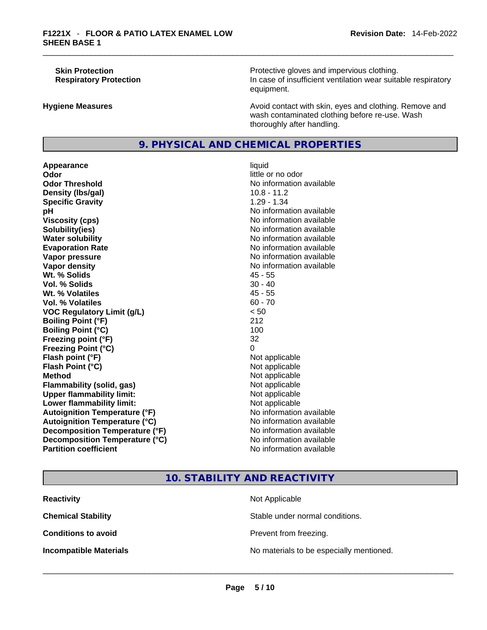**Skin Protection Protection Protective gloves and impervious clothing. Respiratory Protection In case of insufficient ventilation wear suitable respiratory** equipment.

**Hygiene Measures Avoid contact with skin, eyes and clothing. Remove and Avoid contact with skin, eyes and clothing. Remove and** wash contaminated clothing before re-use. Wash thoroughly after handling.

# **9. PHYSICAL AND CHEMICAL PROPERTIES**

**Appearance** liquid **Odor Odor Odor Odor Odor Odor** *little or no odor little or no odor* **Odor Threshold** No information available **Density (lbs/gal)** 10.8 - 11.2 **Specific Gravity** 1.29 - 1.34 **pH pH** *No* information available **Viscosity (cps) No information available No** information available **Solubility(ies)** No information available in the solution of the solution of the solution available in the solution of the solution of the solution of the solution of the solution of the solution of the solution of the so **Water solubility No information available No information available Evaporation Rate No information available No information available Vapor pressure No information available No information available Vapor density No information available No information available Wt. % Solids** 45 - 55 **Vol. % Solids** 30 - 40 **Wt. % Volatiles Vol. % Volatiles** 60 - 70 **VOC Regulatory Limit (g/L)** < 50 **Boiling Point (°F)** 212 **Boiling Point (°C)** 100 **Freezing point (°F)** 32 **Freezing Point (°C)** 0 **Flash point (°F)** Not applicable **Flash Point (°C)** Not applicable **Method**<br> **Plammability (solid, gas)**<br> **Commability (solid, gas)**<br> **Not** applicable **Flammability (solid, gas)** Not applicable Not applicable<br>
Upper flammability limit: Not applicable **Upper flammability limit:**<br> **Lower flammability limit:**<br>
Not applicable<br>
Not applicable **Lower flammability limit:**<br> **Autoignition Temperature (°F)** Not applicable Not applicable in the Muslim Muslim Available **Autoignition Temperature (°F)**<br> **Autoignition Temperature (°C)** No information available **Autoignition Temperature (°C) Decomposition Temperature (°F)** No information available **Decomposition Temperature (°C)**<br> **Partition coefficient**<br> **Partition coefficient**<br> **No** information available

**No information available** 

# **10. STABILITY AND REACTIVITY**

| <b>Reactivity</b>             | Not Applicable                           |
|-------------------------------|------------------------------------------|
| <b>Chemical Stability</b>     | Stable under normal conditions.          |
| <b>Conditions to avoid</b>    | Prevent from freezing.                   |
| <b>Incompatible Materials</b> | No materials to be especially mentioned. |
|                               |                                          |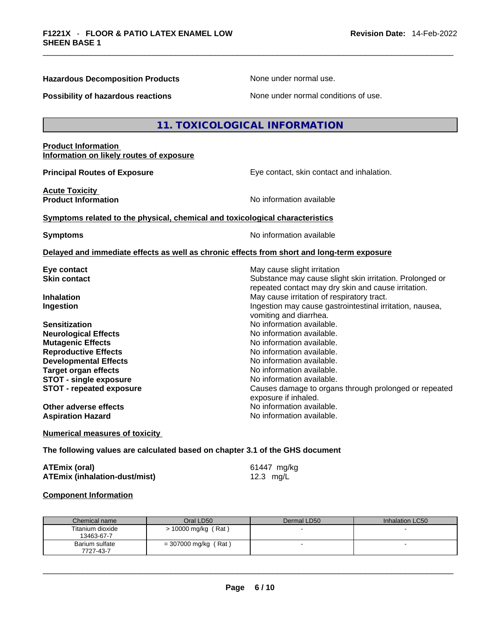**Hazardous Decomposition Products** None under normal use.

| <b>Possibility of hazardous reactions</b>                                                                                                                                                                                                                                                                                                                 | None under normal conditions of use.                                                                                                                                                                                                                                                                                                                                                                                                                                                                                                                                                                        |
|-----------------------------------------------------------------------------------------------------------------------------------------------------------------------------------------------------------------------------------------------------------------------------------------------------------------------------------------------------------|-------------------------------------------------------------------------------------------------------------------------------------------------------------------------------------------------------------------------------------------------------------------------------------------------------------------------------------------------------------------------------------------------------------------------------------------------------------------------------------------------------------------------------------------------------------------------------------------------------------|
|                                                                                                                                                                                                                                                                                                                                                           |                                                                                                                                                                                                                                                                                                                                                                                                                                                                                                                                                                                                             |
|                                                                                                                                                                                                                                                                                                                                                           | 11. TOXICOLOGICAL INFORMATION                                                                                                                                                                                                                                                                                                                                                                                                                                                                                                                                                                               |
| <b>Product Information</b><br>Information on likely routes of exposure                                                                                                                                                                                                                                                                                    |                                                                                                                                                                                                                                                                                                                                                                                                                                                                                                                                                                                                             |
| <b>Principal Routes of Exposure</b>                                                                                                                                                                                                                                                                                                                       | Eye contact, skin contact and inhalation.                                                                                                                                                                                                                                                                                                                                                                                                                                                                                                                                                                   |
| <b>Acute Toxicity</b><br><b>Product Information</b>                                                                                                                                                                                                                                                                                                       | No information available                                                                                                                                                                                                                                                                                                                                                                                                                                                                                                                                                                                    |
| Symptoms related to the physical, chemical and toxicological characteristics                                                                                                                                                                                                                                                                              |                                                                                                                                                                                                                                                                                                                                                                                                                                                                                                                                                                                                             |
| <b>Symptoms</b>                                                                                                                                                                                                                                                                                                                                           | No information available                                                                                                                                                                                                                                                                                                                                                                                                                                                                                                                                                                                    |
| Delayed and immediate effects as well as chronic effects from short and long-term exposure                                                                                                                                                                                                                                                                |                                                                                                                                                                                                                                                                                                                                                                                                                                                                                                                                                                                                             |
| Eye contact<br><b>Skin contact</b><br><b>Inhalation</b><br>Ingestion<br><b>Sensitization</b><br><b>Neurological Effects</b><br><b>Mutagenic Effects</b><br><b>Reproductive Effects</b><br><b>Developmental Effects</b><br><b>Target organ effects</b><br><b>STOT - single exposure</b><br><b>STOT - repeated exposure</b><br><b>Other adverse effects</b> | May cause slight irritation<br>Substance may cause slight skin irritation. Prolonged or<br>repeated contact may dry skin and cause irritation.<br>May cause irritation of respiratory tract.<br>Ingestion may cause gastrointestinal irritation, nausea,<br>vomiting and diarrhea.<br>No information available.<br>No information available.<br>No information available.<br>No information available.<br>No information available.<br>No information available.<br>No information available.<br>Causes damage to organs through prolonged or repeated<br>exposure if inhaled.<br>No information available. |
| <b>Aspiration Hazard</b>                                                                                                                                                                                                                                                                                                                                  | No information available.                                                                                                                                                                                                                                                                                                                                                                                                                                                                                                                                                                                   |
| <b>Numerical measures of toxicity</b>                                                                                                                                                                                                                                                                                                                     |                                                                                                                                                                                                                                                                                                                                                                                                                                                                                                                                                                                                             |
| The following values are calculated based on chapter 3.1 of the GHS document                                                                                                                                                                                                                                                                              |                                                                                                                                                                                                                                                                                                                                                                                                                                                                                                                                                                                                             |
| <b>ATEmix (oral)</b><br><b>ATEmix (inhalation-dust/mist)</b>                                                                                                                                                                                                                                                                                              | 61447 mg/kg<br>12.3 mg/L                                                                                                                                                                                                                                                                                                                                                                                                                                                                                                                                                                                    |
| <b>Component Information</b>                                                                                                                                                                                                                                                                                                                              |                                                                                                                                                                                                                                                                                                                                                                                                                                                                                                                                                                                                             |

| Chemical name                  | Oral LD50              | Dermal LD50 | Inhalation LC50 |
|--------------------------------|------------------------|-------------|-----------------|
| Titanium dioxide<br>13463-67-7 | $> 10000$ mg/kg (Rat)  |             |                 |
| Barium sulfate<br>7727-43-7    | $= 307000$ mg/kg (Rat) |             |                 |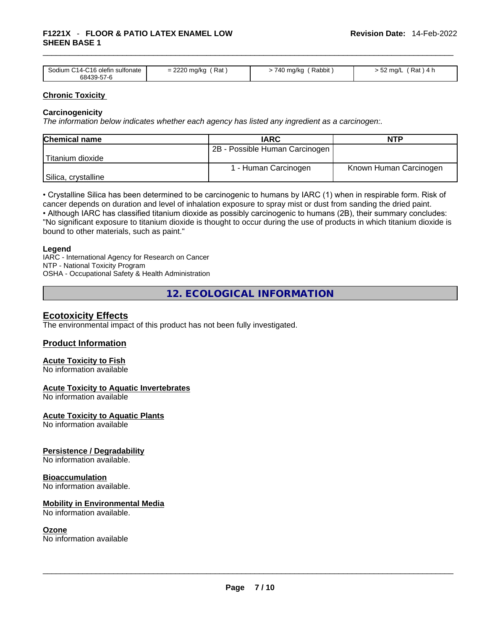## \_\_\_\_\_\_\_\_\_\_\_\_\_\_\_\_\_\_\_\_\_\_\_\_\_\_\_\_\_\_\_\_\_\_\_\_\_\_\_\_\_\_\_\_\_\_\_\_\_\_\_\_\_\_\_\_\_\_\_\_\_\_\_\_\_\_\_\_\_\_\_\_\_\_\_\_\_\_\_\_\_\_\_\_\_\_\_\_\_\_\_\_\_ **F1221X** - **FLOOR & PATIO LATEX ENAMEL LOW SHEEN BASE 1**

| Sodium C14-C16 olefin sulfonate | Rat            | Rabbit        | 'Rat ) 4 h         |
|---------------------------------|----------------|---------------|--------------------|
| 68439-57-6                      | $= 2220$ mg/kg | - 740 mg/kg ′ | $-52 \text{ mq/L}$ |

#### **Chronic Toxicity**

#### **Carcinogenicity**

*The information below indicates whether each agency has listed any ingredient as a carcinogen:.* 

| <b>Chemical name</b> | <b>IARC</b>                    | <b>NTP</b>             |
|----------------------|--------------------------------|------------------------|
|                      | 2B - Possible Human Carcinogen |                        |
| 'Titanium dioxide    |                                |                        |
|                      | 1 - Human Carcinogen           | Known Human Carcinogen |
| Silica, crystalline  |                                |                        |

• Crystalline Silica has been determined to be carcinogenic to humans by IARC (1) when in respirable form. Risk of cancer depends on duration and level of inhalation exposure to spray mist or dust from sanding the dried paint.

• Although IARC has classified titanium dioxide as possibly carcinogenic to humans (2B), their summary concludes: "No significant exposure to titanium dioxide is thought to occur during the use of products in which titanium dioxide is bound to other materials, such as paint."

#### **Legend**

IARC - International Agency for Research on Cancer NTP - National Toxicity Program OSHA - Occupational Safety & Health Administration

**12. ECOLOGICAL INFORMATION** 

## **Ecotoxicity Effects**

The environmental impact of this product has not been fully investigated.

## **Product Information**

# **Acute Toxicity to Fish**

No information available

#### **Acute Toxicity to Aquatic Invertebrates**

No information available

**Acute Toxicity to Aquatic Plants**

No information available

#### **Persistence / Degradability**

No information available.

#### **Bioaccumulation**

No information available.

#### **Mobility in Environmental Media**

No information available.

**Ozone**<br>No information available No information available \_\_\_\_\_\_\_\_\_\_\_\_\_\_\_\_\_\_\_\_\_\_\_\_\_\_\_\_\_\_\_\_\_\_\_\_\_\_\_\_\_\_\_\_\_\_\_\_\_\_\_\_\_\_\_\_\_\_\_\_\_\_\_\_\_\_\_\_\_\_\_\_\_\_\_\_\_\_\_\_\_\_\_\_\_\_\_\_\_\_\_\_\_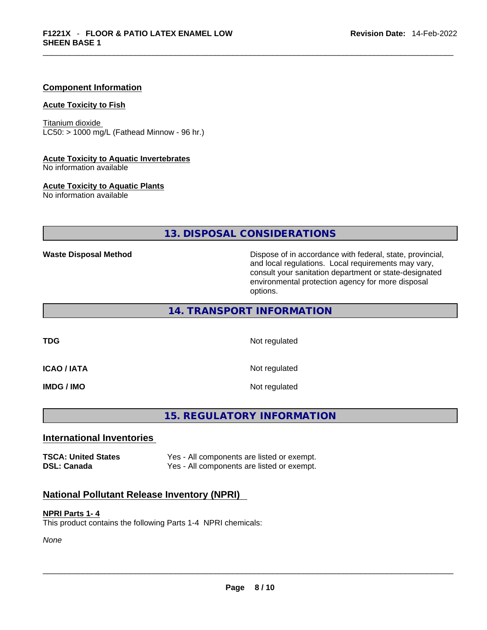#### **Component Information**

#### **Acute Toxicity to Fish**

Titanium dioxide  $LC50:$  > 1000 mg/L (Fathead Minnow - 96 hr.)

#### **Acute Toxicity to Aquatic Invertebrates**

No information available

#### **Acute Toxicity to Aquatic Plants**

No information available

# **13. DISPOSAL CONSIDERATIONS**

**Waste Disposal Method** Dispose of in accordance with federal, state, provincial, and local regulations. Local requirements may vary, consult your sanitation department or state-designated environmental protection agency for more disposal options.

**14. TRANSPORT INFORMATION** 

**TDG** Not regulated

**ICAO / IATA** Not regulated

**IMDG / IMO** Not regulated

# **15. REGULATORY INFORMATION**

## **International Inventories**

**TSCA: United States** Yes - All components are listed or exempt. **DSL: Canada** Yes - All components are listed or exempt.

## **National Pollutant Release Inventory (NPRI)**

#### **NPRI Parts 1- 4**

This product contains the following Parts 1-4 NPRI chemicals:

*None*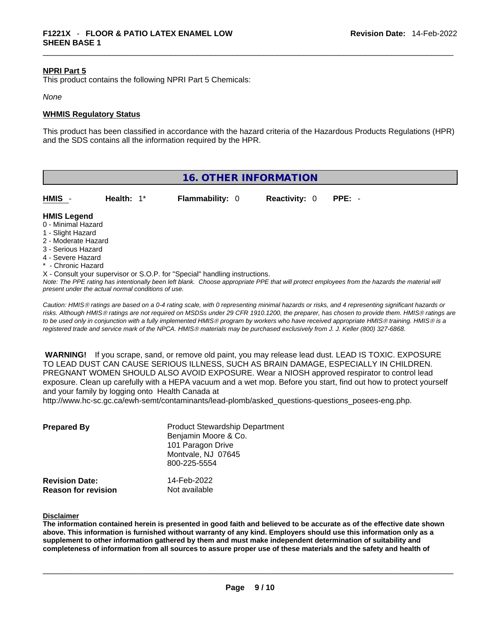#### **NPRI Part 5**

This product contains the following NPRI Part 5 Chemicals:

#### *None*

#### **WHMIS Regulatory Status**

This product has been classified in accordance with the hazard criteria of the Hazardous Products Regulations (HPR) and the SDS contains all the information required by the HPR.

| <b>16. OTHER INFORMATION</b> |  |
|------------------------------|--|
|------------------------------|--|

| HMIS                                     | Health: $1^*$ | <b>Flammability: 0</b> | <b>Reactivity: 0</b> | PPE: - |  |
|------------------------------------------|---------------|------------------------|----------------------|--------|--|
| <b>HMIS Legend</b><br>0 - Minimal Hazard |               |                        |                      |        |  |

- 
- 1 Slight Hazard 2 - Moderate Hazard
- 
- 3 Serious Hazard
- 4 Severe Hazard
- **Chronic Hazard**
- X Consult your supervisor or S.O.P. for "Special" handling instructions.

*Note: The PPE rating has intentionally been left blank. Choose appropriate PPE that will protect employees from the hazards the material will present under the actual normal conditions of use.* 

*Caution: HMISÒ ratings are based on a 0-4 rating scale, with 0 representing minimal hazards or risks, and 4 representing significant hazards or risks. Although HMISÒ ratings are not required on MSDSs under 29 CFR 1910.1200, the preparer, has chosen to provide them. HMISÒ ratings are to be used only in conjunction with a fully implemented HMISÒ program by workers who have received appropriate HMISÒ training. HMISÒ is a registered trade and service mark of the NPCA. HMISÒ materials may be purchased exclusively from J. J. Keller (800) 327-6868.* 

 **WARNING!** If you scrape, sand, or remove old paint, you may release lead dust. LEAD IS TOXIC. EXPOSURE TO LEAD DUST CAN CAUSE SERIOUS ILLNESS, SUCH AS BRAIN DAMAGE, ESPECIALLY IN CHILDREN. PREGNANT WOMEN SHOULD ALSO AVOID EXPOSURE.Wear a NIOSH approved respirator to control lead exposure. Clean up carefully with a HEPA vacuum and a wet mop. Before you start, find out how to protect yourself and your family by logging onto Health Canada at

http://www.hc-sc.gc.ca/ewh-semt/contaminants/lead-plomb/asked\_questions-questions\_posees-eng.php.

| <b>Prepared By</b>                                  | <b>Product Stewardship Department</b><br>Benjamin Moore & Co.<br>101 Paragon Drive<br>Montvale, NJ 07645<br>800-225-5554 |  |
|-----------------------------------------------------|--------------------------------------------------------------------------------------------------------------------------|--|
| <b>Revision Date:</b><br><b>Reason for revision</b> | 14-Feb-2022<br>Not available                                                                                             |  |

#### **Disclaimer**

The information contained herein is presented in good faith and believed to be accurate as of the effective date shown above. This information is furnished without warranty of any kind. Employers should use this information only as a **supplement to other information gathered by them and must make independent determination of suitability and** completeness of information from all sources to assure proper use of these materials and the safety and health of